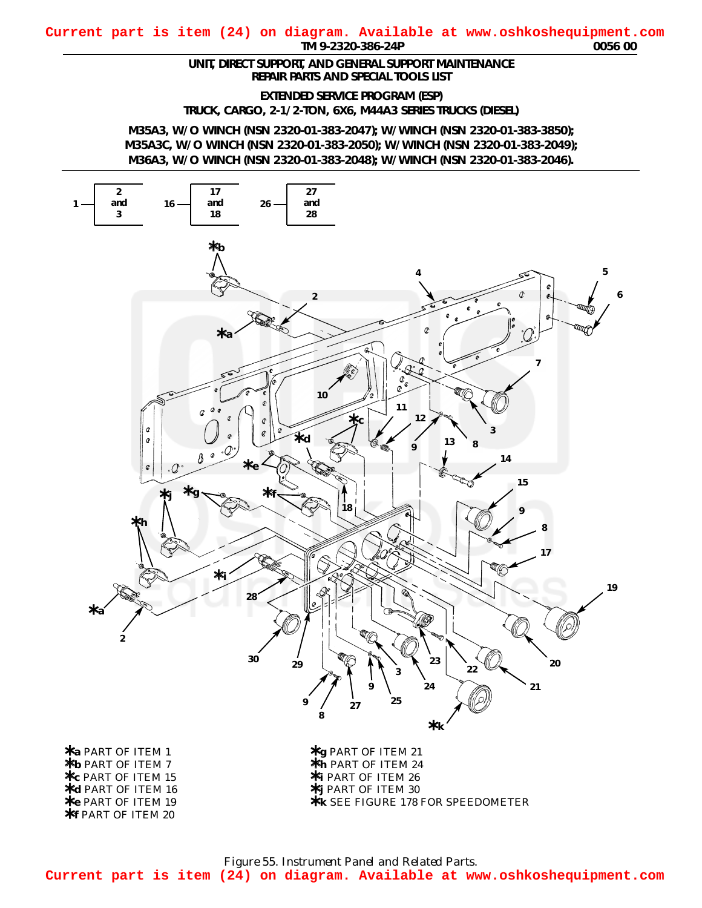## <span id="page-0-0"></span>*TM 9-2320-386-24P 0056 00* **Current part is item (24) on diagram. Available at www.oshkoshequipment.com**

## *UNIT, DIRECT SUPPORT, AND GENERAL SUPPORT MAINTENANCE REPAIR PARTS AND SPECIAL TOOLS LIST*

*EXTENDED SERVICE PROGRAM (ESP)*

*TRUCK, CARGO, 2-1/2-TON, 6X6, M44A3 SERIES TRUCKS (DIESEL)*

*M35A3, W/O WINCH (NSN 2320-01-383-2047); W/WINCH (NSN 2320-01-383-3850); M35A3C, W/O WINCH (NSN 2320-01-383-2050); W/WINCH (NSN 2320-01-383-2049); M36A3, W/O WINCH (NSN 2320-01-383-2048); W/WINCH (NSN 2320-01-383-2046).*



*Figure 55. Instrument Panel and Related Parts.* **Current part is item (24) on diagram. Available at www.oshkoshequipment.com**